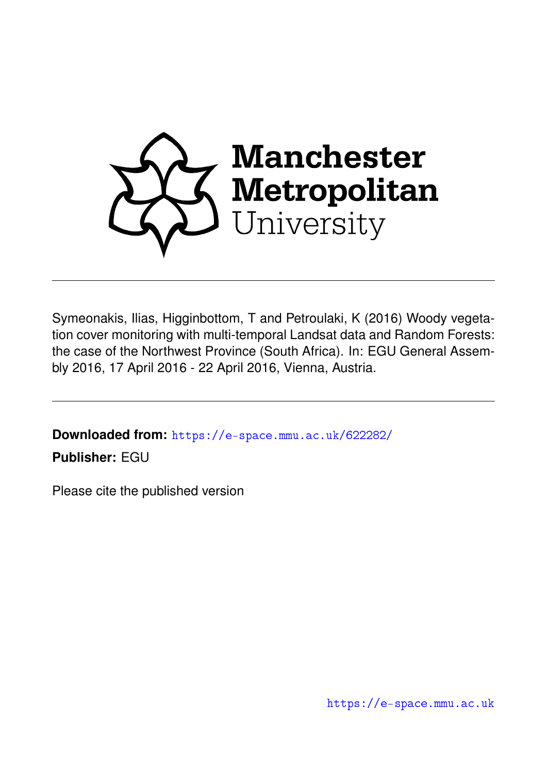

Symeonakis, Ilias, Higginbottom, T and Petroulaki, K (2016) Woody vegetation cover monitoring with multi-temporal Landsat data and Random Forests: the case of the Northwest Province (South Africa). In: EGU General Assembly 2016, 17 April 2016 - 22 April 2016, Vienna, Austria.

**Downloaded from:** <https://e-space.mmu.ac.uk/622282/>

**Publisher:** EGU

Please cite the published version

<https://e-space.mmu.ac.uk>